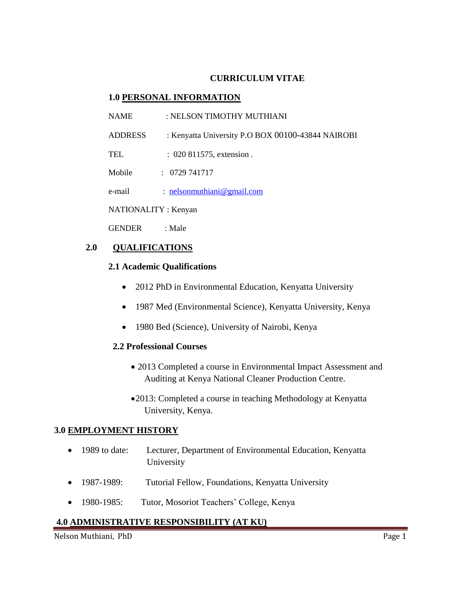### **CURRICULUM VITAE**

#### **1.0 PERSONAL INFORMATION**

- NAME : NELSON TIMOTHY MUTHIANI
- ADDRESS : Kenyatta University P.O BOX 00100-43844 NAIROBI

TEL : 020 811575, extension .

Mobile : 0729 741717

e-mail: [nelsonmuthiani@gmail.com](mailto:nelsonmuthiani@gmail.com)

NATIONALITY : Kenyan

GENDER : Male

## **2.0 QUALIFICATIONS**

#### **2.1 Academic Qualifications**

- 2012 PhD in Environmental Education, Kenyatta University
- 1987 Med (Environmental Science), Kenyatta University, Kenya
- 1980 Bed (Science), University of Nairobi, Kenya

#### **2.2 Professional Courses**

- 2013 Completed a course in Environmental Impact Assessment and Auditing at Kenya National Cleaner Production Centre.
- 2013: Completed a course in teaching Methodology at Kenyatta University, Kenya.

#### **3.0 EMPLOYMENT HISTORY**

- 1989 to date: Lecturer, Department of Environmental Education, Kenyatta University
- 1987-1989: Tutorial Fellow, Foundations, Kenyatta University
- 1980-1985: Tutor, Mosoriot Teachers' College, Kenya

## **4.0 ADMINISTRATIVE RESPONSIBILITY (AT KU)**

Nelson Muthiani, PhD Page 1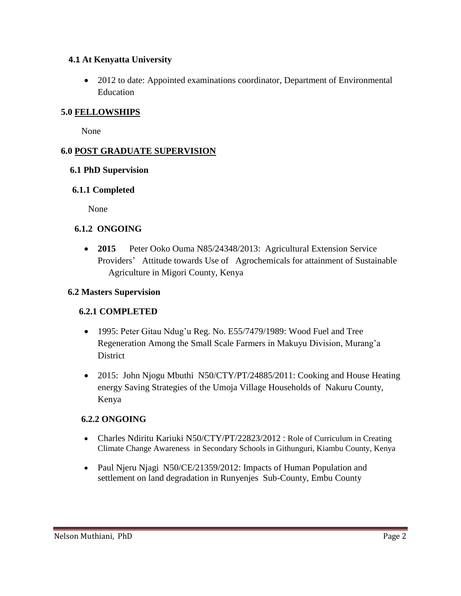## **4.1 At Kenyatta University**

• 2012 to date: Appointed examinations coordinator, Department of Environmental Education

# **5.0 FELLOWSHIPS**

None

# **6.0 POST GRADUATE SUPERVISION**

## **6.1 PhD Supervision**

## **6.1.1 Completed**

None

## **6.1.2 ONGOING**

 **2015** Peter Ooko Ouma N85/24348/2013: Agricultural Extension Service Providers' Attitude towards Use of Agrochemicals for attainment of Sustainable Agriculture in Migori County, Kenya

## **6.2 Masters Supervision**

# **6.2.1 COMPLETED**

- 1995: Peter Gitau Ndug'u Reg. No. E55/7479/1989: Wood Fuel and Tree Regeneration Among the Small Scale Farmers in Makuyu Division, Murang'a **District**
- 2015: John Njogu Mbuthi N50/CTY/PT/24885/2011: Cooking and House Heating energy Saving Strategies of the Umoja Village Households of Nakuru County, Kenya

# **6.2.2 ONGOING**

- Charles Ndiritu Kariuki N50/CTY/PT/22823/2012 : Role of Curriculum in Creating Climate Change Awareness in Secondary Schools in Githunguri, Kiambu County, Kenya
- Paul Njeru Njagi N50/CE/21359/2012: Impacts of Human Population and settlement on land degradation in Runyenjes Sub-County, Embu County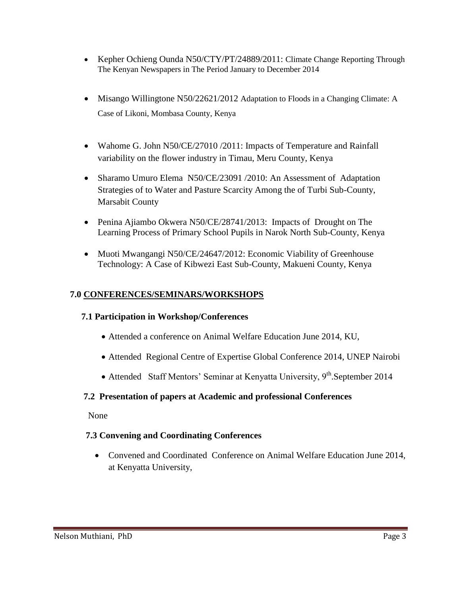- Kepher Ochieng Ounda N50/CTY/PT/24889/2011: Climate Change Reporting Through The Kenyan Newspapers in The Period January to December 2014
- Misango Willingtone N50/22621/2012 Adaptation to Floods in a Changing Climate: A Case of Likoni, Mombasa County, Kenya
- Wahome G. John N50/CE/27010 /2011: Impacts of Temperature and Rainfall variability on the flower industry in Timau, Meru County, Kenya
- Sharamo Umuro Elema N50/CE/23091 /2010: An Assessment of Adaptation Strategies of to Water and Pasture Scarcity Among the of Turbi Sub-County, Marsabit County
- Penina Ajiambo Okwera N50/CE/28741/2013: Impacts of Drought on The Learning Process of Primary School Pupils in Narok North Sub-County, Kenya
- Muoti Mwangangi N50/CE/24647/2012: Economic Viability of Greenhouse Technology: A Case of Kibwezi East Sub-County, Makueni County, Kenya

# **7.0 CONFERENCES/SEMINARS/WORKSHOPS**

# **7.1 Participation in Workshop/Conferences**

- Attended a conference on Animal Welfare Education June 2014, KU,
- Attended Regional Centre of Expertise Global Conference 2014, UNEP Nairobi
- Attended Staff Mentors' Seminar at Kenyatta University,  $9<sup>th</sup>$ . September 2014

# **7.2 Presentation of papers at Academic and professional Conferences**

None

# **7.3 Convening and Coordinating Conferences**

 Convened and Coordinated Conference on Animal Welfare Education June 2014, at Kenyatta University,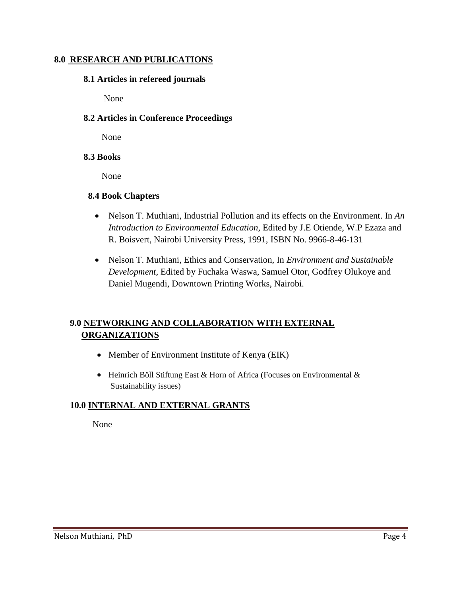### **8.0 RESEARCH AND PUBLICATIONS**

#### **8.1 Articles in refereed journals**

None

## **8.2 Articles in Conference Proceedings**

None

#### **8.3 Books**

None

#### **8.4 Book Chapters**

- Nelson T. Muthiani, Industrial Pollution and its effects on the Environment. In *An Introduction to Environmental Education,* Edited by J.E Otiende, W.P Ezaza and R. Boisvert, Nairobi University Press, 1991, ISBN No. 9966-8-46-131
- Nelson T. Muthiani, Ethics and Conservation, In *Environment and Sustainable Development,* Edited by Fuchaka Waswa, Samuel Otor, Godfrey Olukoye and Daniel Mugendi, Downtown Printing Works, Nairobi.

# **9.0 NETWORKING AND COLLABORATION WITH EXTERNAL ORGANIZATIONS**

- Member of Environment Institute of Kenya (EIK)
- [Heinrich Böll Stiftung East & Horn of Africa](https://www.facebook.com/hbsNairobi/?fref=nf) (Focuses on Environmental  $\&$ Sustainability issues)

## **10.0 INTERNAL AND EXTERNAL GRANTS**

None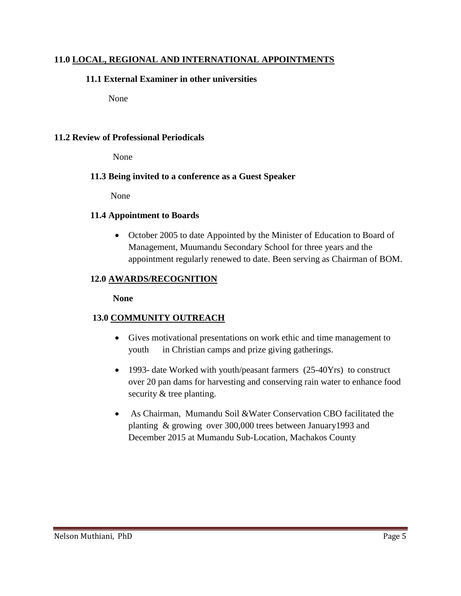## **11.0 LOCAL, REGIONAL AND INTERNATIONAL APPOINTMENTS**

## **11.1 External Examiner in other universities**

None

## **11.2 Review of Professional Periodicals**

None

## **11.3 Being invited to a conference as a Guest Speaker**

None

## **11.4 Appointment to Boards**

• October 2005 to date Appointed by the Minister of Education to Board of Management, Muumandu Secondary School for three years and the appointment regularly renewed to date. Been serving as Chairman of BOM.

# **12.0 AWARDS/RECOGNITION**

## **None**

# **13.0 COMMUNITY OUTREACH**

- Gives motivational presentations on work ethic and time management to youth in Christian camps and prize giving gatherings.
- 1993- date Worked with youth/peasant farmers (25-40Yrs) to construct over 20 pan dams for harvesting and conserving rain water to enhance food security & tree planting.
- As Chairman, Mumandu Soil &Water Conservation CBO facilitated the planting & growing over 300,000 trees between January1993 and December 2015 at Mumandu Sub-Location, Machakos County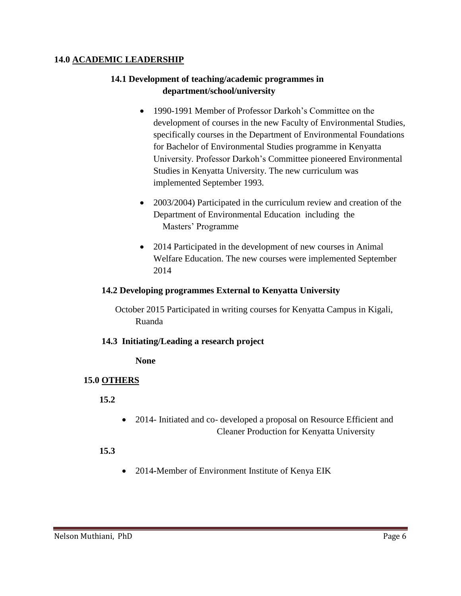## **14.0 ACADEMIC LEADERSHIP**

# **14.1 Development of teaching/academic programmes in department/school/university**

- 1990-1991 Member of Professor Darkoh's Committee on the development of courses in the new Faculty of Environmental Studies, specifically courses in the Department of Environmental Foundations for Bachelor of Environmental Studies programme in Kenyatta University. Professor Darkoh's Committee pioneered Environmental Studies in Kenyatta University. The new curriculum was implemented September 1993.
- 2003/2004) Participated in the curriculum review and creation of the Department of Environmental Education including the Masters' Programme
- 2014 Participated in the development of new courses in Animal Welfare Education. The new courses were implemented September 2014

#### **14.2 Developing programmes External to Kenyatta University**

 October 2015 Participated in writing courses for Kenyatta Campus in Kigali, Ruanda

## **14.3 Initiating/Leading a research project**

**None**

## **15.0 OTHERS**

 **15.2** 

 2014- Initiated and co- developed a proposal on Resource Efficient and Cleaner Production for Kenyatta University

## **15.3**

2014**-**Member of Environment Institute of Kenya EIK